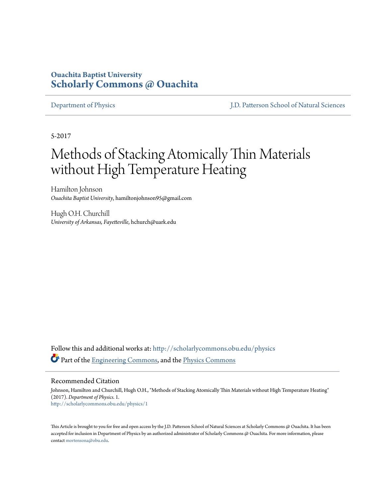## **Ouachita Baptist University [Scholarly Commons @ Ouachita](http://scholarlycommons.obu.edu?utm_source=scholarlycommons.obu.edu%2Fphysics%2F1&utm_medium=PDF&utm_campaign=PDFCoverPages)**

[Department of Physics](http://scholarlycommons.obu.edu/physics?utm_source=scholarlycommons.obu.edu%2Fphysics%2F1&utm_medium=PDF&utm_campaign=PDFCoverPages) [J.D. Patterson School of Natural Sciences](http://scholarlycommons.obu.edu/natural_sciences?utm_source=scholarlycommons.obu.edu%2Fphysics%2F1&utm_medium=PDF&utm_campaign=PDFCoverPages)

5-2017

# Methods of Stacking Atomically Thin Materials without High Temperature Heating

Hamilton Johnson *Ouachita Baptist University*, hamiltonjohnson95@gmail.com

Hugh O.H. Churchill *University of Arkansas, Fayetteville*, hchurch@uark.edu

Follow this and additional works at: [http://scholarlycommons.obu.edu/physics](http://scholarlycommons.obu.edu/physics?utm_source=scholarlycommons.obu.edu%2Fphysics%2F1&utm_medium=PDF&utm_campaign=PDFCoverPages) Part of the [Engineering Commons,](http://network.bepress.com/hgg/discipline/217?utm_source=scholarlycommons.obu.edu%2Fphysics%2F1&utm_medium=PDF&utm_campaign=PDFCoverPages) and the [Physics Commons](http://network.bepress.com/hgg/discipline/193?utm_source=scholarlycommons.obu.edu%2Fphysics%2F1&utm_medium=PDF&utm_campaign=PDFCoverPages)

### Recommended Citation

Johnson, Hamilton and Churchill, Hugh O.H., "Methods of Stacking Atomically Thin Materials without High Temperature Heating" (2017). *Department of Physics*. 1. [http://scholarlycommons.obu.edu/physics/1](http://scholarlycommons.obu.edu/physics/1?utm_source=scholarlycommons.obu.edu%2Fphysics%2F1&utm_medium=PDF&utm_campaign=PDFCoverPages)

This Article is brought to you for free and open access by the J.D. Patterson School of Natural Sciences at Scholarly Commons  $\varpi$  Ouachita. It has been accepted for inclusion in Department of Physics by an authorized administrator of Scholarly Commons @ Ouachita. For more information, please contact [mortensona@obu.edu.](mailto:mortensona@obu.edu)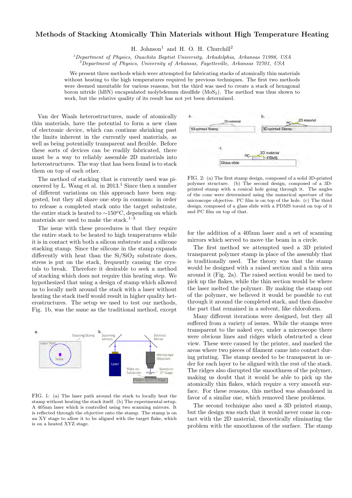### Methods of Stacking Atomically Thin Materials without High Temperature Heating

H. Johnson<sup>1</sup> and H. O. H. Churchill<sup>2</sup>

 $1$ Department of Physics, Ouachita Baptist University, Arkadelphia, Arkansas 71998, USA  $^{2}$ Department of Physics, University of Arkansas, Fayetteville, Arkansas 72701, USA

We present three methods which were attempted for fabricating stacks of atomically thin materials without heating to the high temperatures required by previous techniques. The first two methods were deemed unsuitable for various reasons, but the third was used to create a stack of hexagonal boron nitride (hBN) encapsulated molybdenum disulfide  $(MoS<sub>2</sub>)$ . The method was thus shown to work, but the relative quality of its result has not yet been determined.

Van der Waals heterostructures, made of atomically thin materials, have the potential to form a new class of electronic device, which can continue shrinking past the limits inherent in the currently used materials, as well as being potentially transparent and flexible. Before these sorts of devices can be readily fabricated, there must be a way to reliably assemble 2D materials into heterostructures. The way that has been found is to stack them on top of each other.

The method of stacking that is currently used was pioneered by L. Wang et al. in  $2013<sup>1</sup>$  Since then a number of different variations on this approach have been suggested, but they all share one step in common: in order to release a completed stack onto the target substrate, the entire stack is heated to  $\sim$ 150<sup>o</sup>C, depending on which materials are used to make the stack.<sup>1–3</sup>

The issue with these procedures is that they require the entire stack to be heated to high temperatures while it is in contact with both a silicon substrate and a silicone stacking stamp. Since the silicone in the stamp expands differently with heat than the  $Si/SiO<sub>2</sub>$  substrate does, stress is put on the stack, frequently causing the crystals to break. Therefore it desirable to seek a method of stacking which does not require this heating step. We hypothesized that using a design of stamp which allowed us to locally melt around the stack with a laser without heating the stack itself would result in higher quality heterostructures. The setup we used to test our methods, Fig. 1b, was the same as the traditional method, except



FIG. 1: (a) The laser path around the stack to locally heat the stamp without heating the stack itself. (b) The experimental setup. A 405nm laser which is controlled using two scanning mirrors. It is reflected through the objective onto the stamp. The stamp is on an XY stage to allow it to be aligned with the target flake, which is on a heated XYZ stage.



FIG. 2: (a) The first stamp design, composed of a solid 3D-printed polymer structure. (b) The second design, composed of a 3Dprinted stamp with a conical hole going through it. The angles of the cone were determined using the numerical aperture of the microscope objective. PC film is on top of the hole. (c) The third design, composed of a glass slide with a PDMS toroid on top of it and PC film on top of that.

for the addition of a 405nm laser and a set of scanning mirrors which served to move the beam in a circle.

The first method we attempted used a 3D printed transparent polymer stamp in place of the assembly that is traditionally used. The theory was that the stamp would be designed with a raised section and a thin area around it (Fig. 2a). The raised section would be used to pick up the flakes, while the thin section would be where the laser melted the polymer. By making the stamp out of the polymer, we believed it would be possible to cut through it around the completed stack, and then dissolve the part that remained in a solvent, like chloroform.

Many different iterations were designed, but they all suffered from a variety of issues. While the stamps were transparent to the naked eye, under a microscope there were obvious lines and ridges which obstructed a clear view. These were caused by the printer, and marked the areas where two pieces of filament came into contact during printing. The stamp needed to be transparent in order for each layer to be aligned with the rest of the stack. The ridges also disrupted the smoothness of the polymer, making us doubt that it would be able to pick up the atomically thin flakes, which require a very smooth surface. For these reasons, this method was abandoned in favor of a similar one, which removed these problems.

The second technique also used a 3D printed stamp, but the design was such that it would never come in contact with the 2D material, theoretically eliminating the problem with the smoothness of the surface. The stamp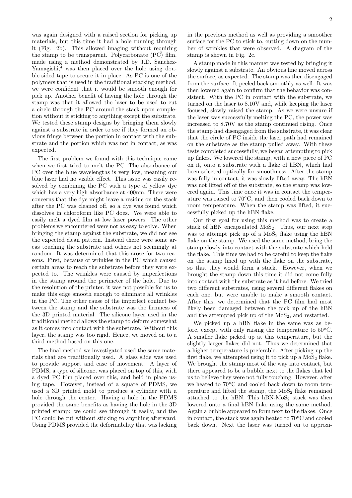was again designed with a raised section for picking up materials, but this time it had a hole running through it (Fig. 2b). This allowed imaging without requiring the stamp to be transparent. Polycarbonate (PC) film, made using a method demonstrated by J.D. Sanchez- $Yamaqishi, 4$  was then placed over the hole using double sided tape to secure it in place. As PC is one of the polymers that is used in the traditional stacking method, we were confident that it would be smooth enough for pick up. Another benefit of having the hole through the stamp was that it allowed the laser to be used to cut a circle through the PC around the stack upon completion without it sticking to anything except the substrate. We tested these stamp designs by bringing them slowly against a substrate in order to see if they formed an obvious fringe between the portion in contact with the substrate and the portion which was not in contact, as was expected.

The first problem we found with this technique came when we first tried to melt the PC. The absorbance of PC over the blue wavelengths is very low, meaning our blue laser had no visible effect. This issue was easily resolved by combining the PC with a type of yellow dye which has a very high absorbance at 400nm. There were concerns that the dye might leave a residue on the stack after the PC was cleaned off, so a dye was found which dissolves in chloroform like PC does. We were able to easily melt a dyed film at low laser powers. The other problems we encountered were not as easy to solve. When bringing the stamp against the substrate, we did not see the expected clean pattern. Instead there were some areas touching the substrate and others not seemingly at random. It was determined that this arose for two reasons. First, because of wrinkles in the PC which caused certain areas to reach the substrate before they were expected to. The wrinkles were caused by imperfections in the stamp around the perimeter of the hole. Due to the resolution of the printer, it was not possible for us to make this edge smooth enough to eliminate all wrinkles in the PC. The other cause of the imperfect contact between the stamp and the substrate was the firmness of the 3D printed material. The silicone layer used in the traditional method allows the stamp to deform somewhat as it comes into contact with the substrate. Without this layer, the stamp was too rigid. Hence, we moved on to a third method based on this one.

The final method we investigated used the same materials that are traditionally used. A glass slide was used to provide support and ease of movement. A layer of PDMS, a type of silicone, was placed on top of this, with a dyed PC film placed over this, and held in place using tape. However, instead of a square of PDMS, we used a 3D printed mold to produce a cylinder with a hole through the center. Having a hole in the PDMS provided the same benefits as having the hole in the 3D printed stamp: we could see through it easily, and the PC could be cut without sticking to anything afterward. Using PDMS provided the deformability that was lacking

in the previous method as well as providing a smoother surface for the PC to stick to, cutting down on the number of wrinkles that were observed. A diagram of the stamp is shown in Fig. 2c.

A stamp made in this manner was tested by bringing it slowly against a substrate. An obvious line moved across the surface, as expected. The stamp was then disengaged from the surface. It peeled back smoothly as well. It was then lowered again to confirm that the behavior was consistent. With the PC in contact with the substrate, we turned on the laser to 8.10V and, while keeping the laser focused, slowly raised the stamp. As we were unsure if the laser was successfully melting the PC, the power was increased to 8.70V as the stamp continued rising. Once the stamp had disengaged from the substrate, it was clear that the circle of PC inside the laser path had remained on the substrate as the stamp pulled away. With these tests completed successfully, we began attempting to pick up flakes. We lowered the stamp, with a new piece of PC on it, onto a substrate with a flake of hBN, which had been selected optically for smoothness. After the stamp was fully in contact, it was slowly lifted away. The hBN was not lifted off of the substrate, so the stamp was lowered again. This time once it was in contact the temperature was raised to  $70^{\circ}$ C, and then cooled back down to room temperature. When the stamp was lifted, it successfully picked up the hBN flake.

Our first goal for using this method was to create a stack of hBN encapsulated  $MoS<sub>2</sub>$ . Thus, our next step was to attempt pick up of a  $MoS<sub>2</sub>$  flake using the hBN flake on the stamp. We used the same method, bring the stamp slowly into contact with the substrate which held the flake. This time we had to be careful to keep the flake on the stamp lined up with the flake on the substrate, so that they would form a stack. However, when we brought the stamp down this time it did not come fully into contact with the substrate as it had before. We tried two different substrates, using several different flakes on each one, but were unable to make a smooth contact. After this, we determined that the PC film had most likely been damaged between the pick up of the hBN and the attempted pick up of the  $MoS<sub>2</sub>$ , and restarted.

We picked up a hBN flake in the same was as before, except with only raising the temperature to  $50^{\circ}$ C. A smaller flake picked up at this temperature, but the slightly larger flakes did not. Thus we determined that a higher temperature is preferable. After picking up the first flake, we attempted using it to pick up a  $MoS<sub>2</sub>$  flake. We brought the stamp most of the way into contact, but there appeared to be a bubble next to the flakes that led us to believe they were not fully touching. However, after we heated to  $70^{\circ}$ C and cooled back down to room temperature and lifted the stamp, the  $MoS<sub>2</sub>$  flake remained attached to the hBN. This  $hBN-MoS<sub>2</sub>$  stack was then lowered onto a final hBN flake using the same method. Again a bubble appeared to form next to the flakes. Once in contact, the stack was again heated to  $70^{\circ}$ C and cooled back down. Next the laser was turned on to approxi-